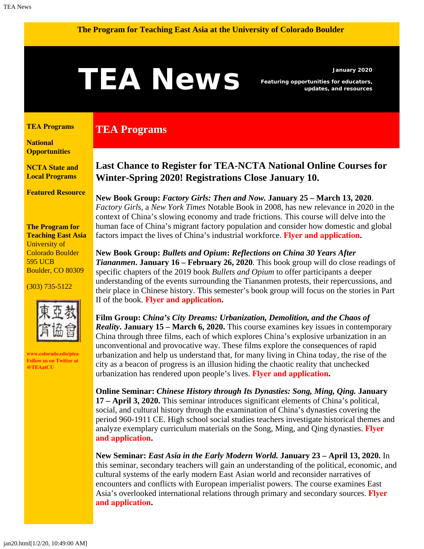#### <span id="page-0-1"></span>**The Program for Teaching East Asia at the University of Colorado Boulder**

# **TEANS** Featuring opportunities for educators,

**TEA Programs**

*Featuring opportunities for educators, updates, and resources*

#### <span id="page-0-0"></span>**[TEA Programs](#page-0-0)**

**[National](#page-0-1)  [Opportunities](#page-0-1)**

**[NCTA State and](#page-2-0) [Local Programs](#page-2-0)**

**[Featured Resource](#page-3-0)**

#### **The Program for Teaching East Asia** University of Colorado Boulder 595 UCB Boulder, CO 80309

(303) 735-5122



**[www.colorado.edu/ptea](http://www.colorado.edu/cas/tea) Follow us on Twitter at [@TEAatCU](https://twitter.com/TEAatCU)**

# **Last Chance to Register for TEA-NCTA National Online Courses for Winter-Spring 2020! Registrations Close January 10.**

**New Book Group:** *Factory Girls: Then and Now.* **January 25 – March 13, 2020***. Factory Girls,* a *New York Times* Notable Book in 2008, has new relevance in 2020 in the context of China's slowing economy and trade frictions. This course will delve into the human face of China's migrant factory population and consider how domestic and global factors impact the lives of China's industrial workforce. **Flyer [and application](https://www.colorado.edu/ptea/sites/default/files/attached-files/factorygirls.pdf).**

**New Book Group:** *Bullets and Opium***:** *Reflections on China 30 Years After Tiananmen***. January 16 – February 26, 2020**. This book group will do close readings of specific chapters of the 2019 book *Bullets and Opium* to offer participants a deeper understanding of the events surrounding the Tiananmen protests, their repercussions, and their place in Chinese history. This semester's book group will focus on the stories in Part II of the book. **[Flyer and application](https://www.colorado.edu/ptea/sites/default/files/attached-files/bulletsopiumwinter2020.pdf).**

**Film Group:** *China's City Dreams: Urbanization, Demolition, and the Chaos of Reality***. January 15 – March 6, 2020.** This course examines key issues in contemporary China through three films, each of which explores China's explosive urbanization in an unconventional and provocative way. These films explore the consequences of rapid urbanization and help us understand that, for many living in China today, the rise of the city as a beacon of progress is an illusion hiding the chaotic reality that unchecked urbanization has rendered upon people's lives. **[Flyer and application](https://www.colorado.edu/ptea/sites/default/files/attached-files/chinacitydreams2020.pdf).**

**Online Seminar:** *Chinese History through Its Dynasties: Song, Ming, Qing.* **January 17 – April 3, 2020.** This seminar introduces significant elements of China's political, social, and cultural history through the examination of China's dynasties covering the period 960-1911 CE. High school social studies teachers investigate historical themes and analyze exemplary curriculum materials on the Song, Ming, and Qing dynasties. **[Flyer](https://www.colorado.edu/ptea/sites/default/files/attached-files/chinadynasties_flyer_winter2020.pdf) [and application](https://www.colorado.edu/ptea/sites/default/files/attached-files/chinadynasties_flyer_winter2020.pdf).**

**New Seminar:** *East Asia in the Early Modern World.* **January 23 – April 13, 2020.** In this seminar, secondary teachers will gain an understanding of the political, economic, and cultural systems of the early modern East Asian world and reconsider narratives of encounters and conflicts with European imperialist powers. The course examines East Asia's overlooked international relations through primary and secondary sources. **[Flyer](https://www.colorado.edu/ptea/sites/default/files/attached-files/emeacourseflyer.pdf) [and application](https://www.colorado.edu/ptea/sites/default/files/attached-files/emeacourseflyer.pdf).**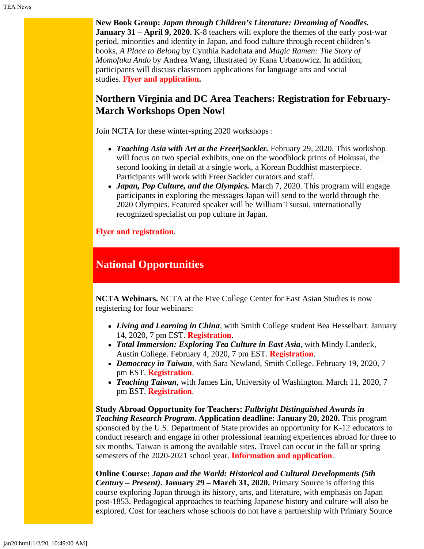**New Book Group:** *Japan through Children's Literature: Dreaming of Noodles.* **January 31 – April 9, 2020.** K-8 teachers will explore the themes of the early post-war period, minorities and identity in Japan, and food culture through recent children's books, *A Place to Belong* by Cynthia Kadohata and *Magic Ramen: The Story of Momofuku Ando* by Andrea Wang, illustrated by Kana Urbanowicz. In addition, participants will discuss classroom applications for language arts and social studies. **Flyer [and application](https://www.colorado.edu/ptea/sites/default/files/attached-files/ws2020jpkidlitbgflyer.pdf).**

#### **Northern Virginia and DC Area Teachers: Registration for February-March Workshops Open Now!**

Join NCTA for these winter-spring 2020 workshops :

- *Teaching Asia with Art at the Freer|Sackler.* February 29, 2020. This workshop will focus on two special exhibits, one on the woodblock prints of Hokusai, the second looking in detail at a single work, a Korean Buddhist masterpiece. Participants will work with Freer|Sackler curators and staff.
- *Japan, Pop Culture, and the Olympics.* March 7, 2020. This program will engage participants in exploring the messages Japan will send to the world through the 2020 Olympics. Featured speaker will be William Tsutsui, internationally recognized specialist on pop culture in Japan.

**[Flyer and registration](https://www.colorado.edu/ptea/sites/default/files/attached-files/nova_flyer_2019_2020.pdf)**.

### **National Opportunities**

**NCTA Webinars.** NCTA at the Five College Center for East Asian Studies is now registering for four webinars:

- *Living and Learning in China*, with Smith College student Bea Hesselbart. January 14, 2020, 7 pm EST. **[Registration](https://register.gotowebinar.com/register/5341404801428290817)**.
- *Total Immersion: Exploring Tea Culture in East Asia*, with Mindy Landeck, Austin College. February 4, 2020, 7 pm EST. **[Registration](https://register.gotowebinar.com/register/9066745907118157314)**.
- *Democracy in Taiwan*, with Sara Newland, Smith College. February 19, 2020, 7 pm EST. **[Registration](https://attendee.gotowebinar.com/register/107287449740087554)**.
- *Teaching Taiwan*, with James Lin, University of Washington. March 11, 2020, 7 pm EST. **[Registration](https://attendee.gotowebinar.com/register/4325439564888608002)**.

**Study Abroad Opportunity for Teachers:** *Fulbright Distinguished Awards in Teaching Research Program***. Application deadline: January 20, 2020.** This program sponsored by the U.S. Department of State provides an opportunity for K-12 educators to conduct research and engage in other professional learning experiences abroad for three to six months. Taiwan is among the available sites. Travel can occur in the fall or spring semesters of the 2020-2021 school year. **[Information and application](https://www.irex.org/program/opportunity-us-k-12-teachers-fulbright-distinguished-awards-teaching-research-program)**.

**Online Course:** *Japan and the World: Historical and Cultural Developments (5th Century – Present)***. January 29 – March 31, 2020.** Primary Source is offering this course exploring Japan through its history, arts, and literature, with emphasis on Japan post-1853. Pedagogical approaches to teaching Japanese history and culture will also be explored. Cost for teachers whose schools do not have a partnership with Primary Source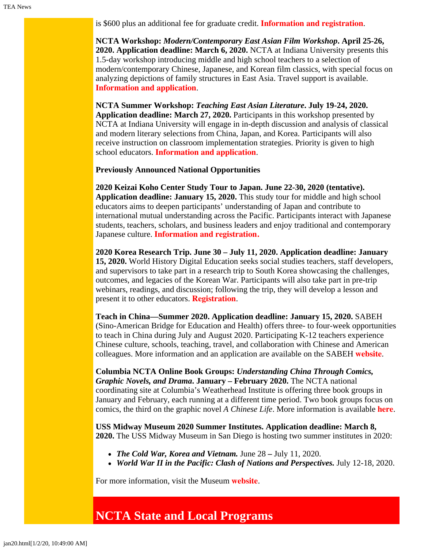is \$600 plus an additional fee for graduate credit. **[Information and registration](https://www.primarysource.org/for-teachers/19---for-teachers---courses---japan-and-the-world-)**.

**NCTA Workshop:** *Modern/Contemporary East Asian Film Workshop***. April 25-26, 2020. Application deadline: March 6, 2020.** NCTA at Indiana University presents this 1.5-day workshop introducing middle and high school teachers to a selection of modern/contemporary Chinese, Japanese, and Korean film classics, with special focus on analyzing depictions of family structures in East Asia. Travel support is available. **[Information and application](https://easc.indiana.edu/programs/ncta-programs/ncta-enrichment-sijo-workshop.html)**.

**NCTA Summer Workshop:** *Teaching East Asian Literature***. July 19-24, 2020. Application deadline: March 27, 2020.** Participants in this workshop presented by NCTA at Indiana University will engage in in-depth discussion and analysis of classical and modern literary selections from China, Japan, and Korea. Participants will also receive instruction on classroom implementation strategies. Priority is given to high school educators. **[Information and application](https://easc.indiana.edu/programs/ncta-programs/ncta-summer-literature-workshop.html)**.

**Previously Announced National Opportunities**

**2020 Keizai Koho Center Study Tour to Japan. June 22-30, 2020 (tentative). Application deadline: January 15, 2020.** This study tour for middle and high school educators aims to deepen participants' understanding of Japan and contribute to international mutual understanding across the Pacific. Participants interact with Japanese students, teachers, scholars, and business leaders and enjoy traditional and contemporary Japanese culture. **[Information and registration.](http://www.us-japan.org/programs/kkc)**

**2020 Korea Research Trip. June 30 – July 11, 2020. Application deadline: January 15, 2020.** World History Digital Education seeks social studies teachers, staff developers, and supervisors to take part in a research trip to South Korea showcasing the challenges, outcomes, and legacies of the Korean War. Participants will also take part in pre-trip webinars, readings, and discussion; following the trip, they will develop a lesson and present it to other educators. **[Registration](http://www.worldhistoryde.org/korea-trip)**.

**Teach in China—Summer 2020. Application deadline: January 15, 2020.** SABEH (Sino-American Bridge for Education and Health) offers three- to four-week opportunities to teach in China during July and August 2020. Participating K-12 teachers experience Chinese culture, schools, teaching, travel, and collaboration with Chinese and American colleagues. More information and an application are available on the SABEH **[website](https://www.sabeh.org/teach-in-china)**.

**Columbia NCTA Online Book Groups:** *Understanding China Through Comics, Graphic Novels, and Drama***. January – February 2020.** The NCTA national coordinating site at Columbia's Weatherhead Institute is offering three book groups in January and February, each running at a different time period. Two book groups focus on comics, the third on the graphic novel *A Chinese Life*. More information is available **[here](http://afe.easia.columbia.edu/announcements/2019/BookGroupsFall19.html)**.

**USS Midway Museum 2020 Summer Institutes. Application deadline: March 8, 2020.** The USS Midway Museum in San Diego is hosting two summer institutes in 2020:

- *The Cold War, Korea and Vietnam.* June 28 July 11, 2020.
- *World War II in the Pacific: Clash of Nations and Perspectives.* July 12-18, 2020.

For more information, visit the Museum **[website](https://www.midway.org/education/teacher-programs/midway-institute-for-teachers/)**.

# <span id="page-2-0"></span>**NCTA State and Local Programs**